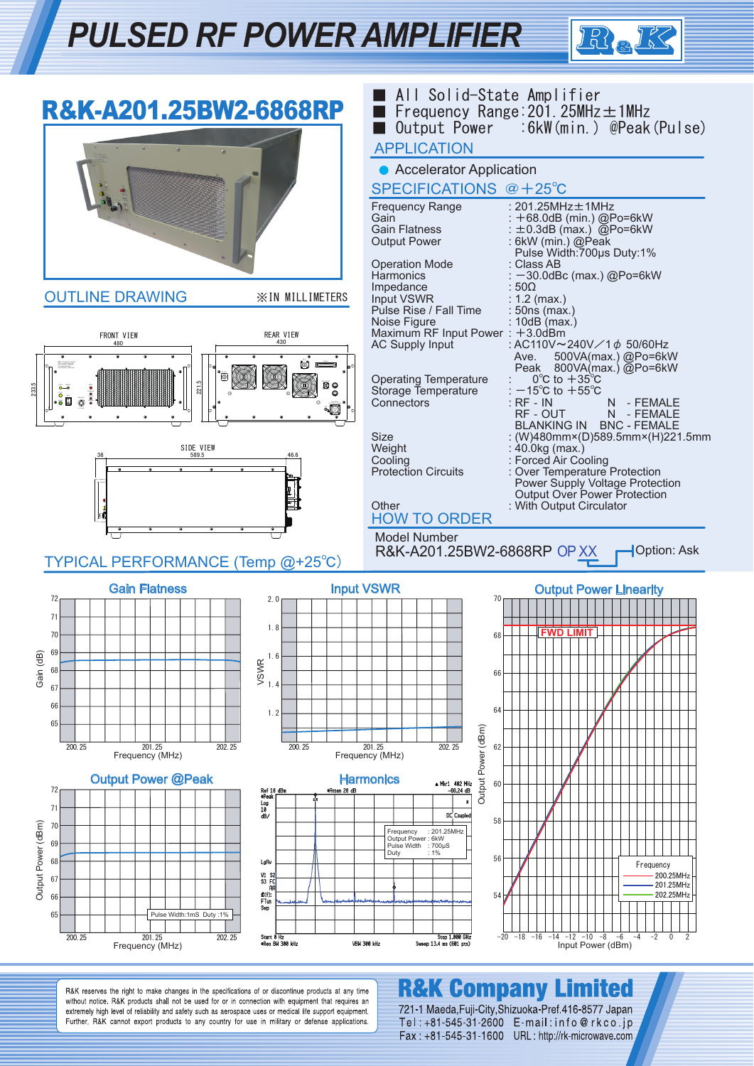## *PULSED RF POWER AMPLIFIER*



|                                | R&K-A201.25BW2-6868RP                                          |                                                                                         |                                  | <b>APPLICATION</b>                                                                                                         | All Solid-State Amplifier<br>Frequency Range: $201.25$ MHz $\pm$ 1MHz<br>Output Power : 6kW (min.) @Peak (Pulse)                                                                                              |
|--------------------------------|----------------------------------------------------------------|-----------------------------------------------------------------------------------------|----------------------------------|----------------------------------------------------------------------------------------------------------------------------|---------------------------------------------------------------------------------------------------------------------------------------------------------------------------------------------------------------|
|                                |                                                                |                                                                                         |                                  | • Accelerator Application<br>SPECIFICATIONS @+25°C                                                                         |                                                                                                                                                                                                               |
|                                |                                                                |                                                                                         |                                  | <b>Frequency Range</b><br>Gain<br><b>Gain Flatness</b><br><b>Output Power</b><br><b>Operation Mode</b><br><b>Harmonics</b> | : $201.25$ MHz $\pm$ 1MHz<br>: +68.0dB (min.) @Po=6kW<br>: $\pm$ 0.3dB (max.) @Po=6kW<br>: 6kW (min.) @Peak<br>Pulse Width: 700us Duty: 1%<br>: Class AB<br>: -30.0dBc (max.) @Po=6kW                         |
|                                | <b>OUTLINE DRAWING</b>                                         | <b>XIN MILLIMETERS</b>                                                                  |                                  | Impedance<br>Input VSWR<br>Pulse Rise / Fall Time                                                                          | : 50Ω<br>: $1.2$ (max.)                                                                                                                                                                                       |
|                                | FRONT VIEW<br>480                                              | <b>REAR VIEW</b><br>430                                                                 |                                  | Noise Figure<br>Maximum RF Input Power: +3.0dBm<br><b>AC Supply Input</b>                                                  | : 50ns (max.)<br>$: 10$ dB $($ max. $)$<br>: AC110V~240V/1 ¢ 50/60Hz<br>500VA(max.) @Po=6kW<br>Ave.                                                                                                           |
| 233.5                          | 221.5                                                          | o                                                                                       |                                  | <b>Operating Temperature</b><br>Storage Temperature<br>Connectors                                                          | Peak 800VA(max.) @Po=6kW<br>$0^{\circ}$ C to $+35^{\circ}$ C<br>: $-15^{\circ}$ C to $+55^{\circ}$ C<br>$:$ RF - IN<br>N - FEMALE<br>RF - OUT<br>N - FEMALE                                                   |
|                                | SIDE VIEW<br>589.5                                             |                                                                                         |                                  | Size<br>Weight<br>Cooling<br><b>Protection Circuits</b>                                                                    | BLANKING IN BNC - FEMALE<br>: (W)480mm×(D)589.5mm×(H)221.5mm<br>$:$ 40.0kg (max.)<br>: Forced Air Cooling<br>: Over Temperature Protection<br>Power Supply Voltage Protection<br>Output Over Power Protection |
|                                |                                                                |                                                                                         |                                  | Other<br><b>HOW TO ORDER</b>                                                                                               | : With Output Circulator                                                                                                                                                                                      |
|                                | TYPICAL PERFORMANCE (Temp @+25°C)                              |                                                                                         |                                  | <b>Model Number</b><br>R&K-A201.25BW2-6868RP OP XX                                                                         | Option: Ask                                                                                                                                                                                                   |
|                                | <b>Gain Flatness</b>                                           | 2.0                                                                                     | <b>Input VSWR</b>                |                                                                                                                            | <b>Output Power Linearity</b><br>70                                                                                                                                                                           |
| 72<br>71                       |                                                                | 1.8                                                                                     |                                  |                                                                                                                            |                                                                                                                                                                                                               |
| 70                             |                                                                | 1.6                                                                                     |                                  |                                                                                                                            | <b>FWD LIMIT</b><br>68                                                                                                                                                                                        |
| Gain (dB)<br>68                |                                                                | $\begin{array}{c}\n\mathsf{I} \\ \mathsf{I} \\ \mathsf{I} \\ \mathsf{I}\n\end{array}$   |                                  |                                                                                                                            | 66                                                                                                                                                                                                            |
| 67<br>66                       |                                                                | 1.2                                                                                     |                                  |                                                                                                                            | 64                                                                                                                                                                                                            |
| 65                             |                                                                |                                                                                         |                                  |                                                                                                                            |                                                                                                                                                                                                               |
|                                | 200.25<br>201.25<br>Frequency (MHz)                            | 202.25<br>200.25                                                                        | 201.25<br>Frequency (MHz)        | 202.25                                                                                                                     | 62                                                                                                                                                                                                            |
| 72                             | <b>Output Power @Peak</b>                                      | Ref 18 dBm<br>oPeal                                                                     | <b>Harmonics</b><br>.Atten 28 dB | Output Power (dBm)<br>A Mkr1 402 MHz<br>-66.24 dB                                                                          | 60                                                                                                                                                                                                            |
| 71<br>70                       |                                                                | Log<br>10<br>dB/                                                                        |                                  | $\pmb{\ast}$<br>DC Coupled                                                                                                 | 58                                                                                                                                                                                                            |
| 69                             |                                                                |                                                                                         |                                  | Frequency : 201.25MHz<br>Output Power: 6kW<br>Pulse Width : 700µS<br>$: 1\%$<br>Duty                                       |                                                                                                                                                                                                               |
| Output Power (dBm)<br>68<br>67 |                                                                | LgAv<br>$\begin{array}{c} \text{V1} \\ \text{S3} \\ \text{FC} \\ \text{AA} \end{array}$ |                                  |                                                                                                                            | 56<br>Frequency<br>200.25MHz<br>201.25MHz                                                                                                                                                                     |
| 66                             |                                                                | $E(f)$ :<br>FTun<br>Swp                                                                 |                                  |                                                                                                                            | 202.25MHz<br>54                                                                                                                                                                                               |
| 65                             | Pulse Width:1mS Duty:1%<br>200.25<br>201.25<br>Frequency (MHz) | 202.25<br>Start 0 Hz<br>.Res BH 300 kHz                                                 | <b>VBH 300 kHz</b>               | Stop 1.000 GHz<br>Sweep 13.4 ms (601 pts)                                                                                  | $-20$ $-18$ $-16$ $-14$ $-12$ $-10$ $-8$ $-6$<br>Input Power (dBm)<br>$-2$<br>$-4$<br>$\mathbf{0}$<br>2                                                                                                       |

R&K reserves the right to make changes in the specifications of or discontinue products at any time without notice. R&K products shall not be used for or in connection with equipment that requires an extremely high level of reliability and safety such as aerospace uses or medical life support equipment.<br>Further, R&K cannot export products to any country for use in military or defense applications.

### **R&K Company Limited**

721-1 Maeda, Fuji-City, Shizuoka-Pref. 416-8577 Japan Tel: +81-545-31-2600 E-mail:info@rkco.jp Fax: +81-545-31-1600 URL: http://rk-microwave.com